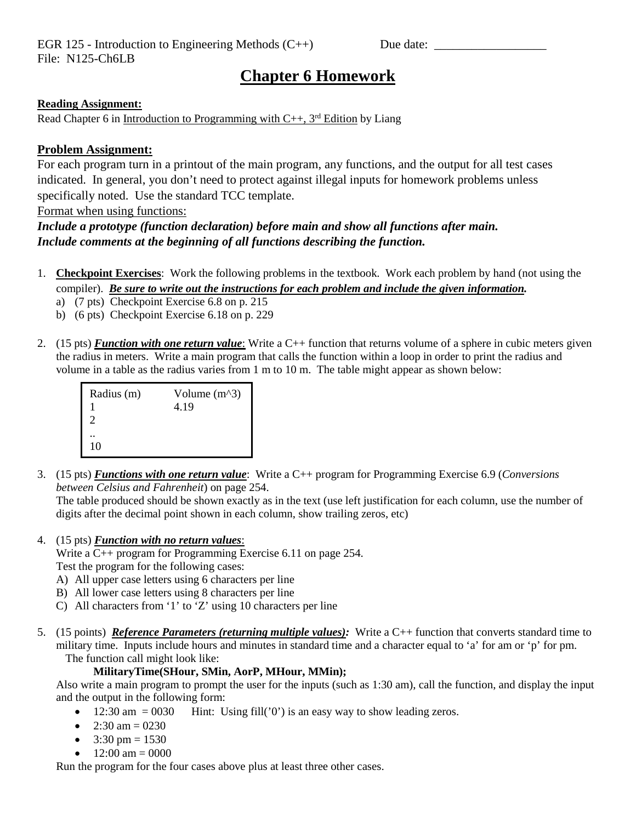# **Chapter 6 Homework**

# **Reading Assignment:**

Read Chapter 6 in Introduction to Programming with  $C_{++}$ , 3<sup>rd</sup> Edition by Liang

# **Problem Assignment:**

For each program turn in a printout of the main program, any functions, and the output for all test cases indicated. In general, you don't need to protect against illegal inputs for homework problems unless specifically noted. Use the standard TCC template.

Format when using functions:

# *Include a prototype (function declaration) before main and show all functions after main. Include comments at the beginning of all functions describing the function.*

- 1. **Checkpoint Exercises**: Work the following problems in the textbook. Work each problem by hand (not using the compiler). *Be sure to write out the instructions for each problem and include the given information.*
	- a) (7 pts) Checkpoint Exercise 6.8 on p. 215
	- b) (6 pts) Checkpoint Exercise 6.18 on p. 229
- 2. (15 pts) *Function with one return value*: Write a C++ function that returns volume of a sphere in cubic meters given the radius in meters. Write a main program that calls the function within a loop in order to print the radius and volume in a table as the radius varies from 1 m to 10 m. The table might appear as shown below:

| Radius (m)                  | Volume $(m^3)$ |
|-----------------------------|----------------|
| $\mathcal{D}_{\mathcal{A}}$ | 4.19           |
| 10                          |                |

3. (15 pts) *Functions with one return value*: Write a C++ program for Programming Exercise 6.9 (*Conversions between Celsius and Fahrenheit*) on page 254.

The table produced should be shown exactly as in the text (use left justification for each column, use the number of digits after the decimal point shown in each column, show trailing zeros, etc)

4. (15 pts) *Function with no return values*:

Write a C++ program for Programming Exercise 6.11 on page 254. Test the program for the following cases:

- A) All upper case letters using 6 characters per line
- B) All lower case letters using 8 characters per line
- C) All characters from '1' to 'Z' using 10 characters per line
- 5. (15 points) *Reference Parameters (returning multiple values):* Write a C++ function that converts standard time to military time. Inputs include hours and minutes in standard time and a character equal to 'a' for am or 'p' for pm. The function call might look like:

### **MilitaryTime(SHour, SMin, AorP, MHour, MMin);**

Also write a main program to prompt the user for the inputs (such as 1:30 am), call the function, and display the input and the output in the following form:

- 12:30 am  $= 0030$  Hint: Using fill('0') is an easy way to show leading zeros.
- 2:30 am = 0230
- $3:30 \text{ pm} = 1530$
- $12:00 \text{ am} = 0000$

Run the program for the four cases above plus at least three other cases.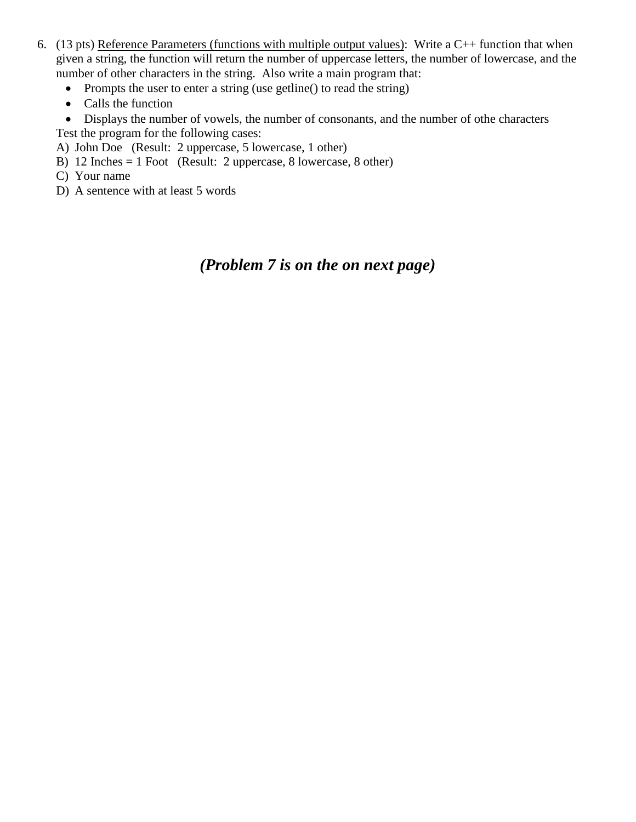- 6. (13 pts) Reference Parameters (functions with multiple output values): Write a  $C++$  function that when given a string, the function will return the number of uppercase letters, the number of lowercase, and the number of other characters in the string. Also write a main program that:
	- Prompts the user to enter a string (use getline() to read the string)
	- Calls the function
	- Displays the number of vowels, the number of consonants, and the number of othe characters Test the program for the following cases:
	- A) John Doe (Result: 2 uppercase, 5 lowercase, 1 other)
	- B) 12 Inches = 1 Foot (Result: 2 uppercase, 8 lowercase, 8 other)
	- C) Your name
	- D) A sentence with at least 5 words

# *(Problem 7 is on the on next page)*